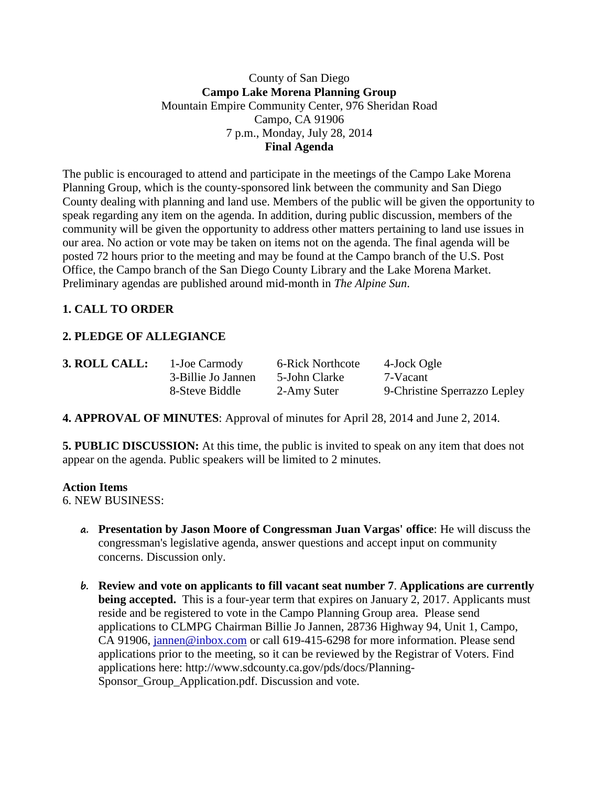### County of San Diego **Campo Lake Morena Planning Group** Mountain Empire Community Center, 976 Sheridan Road Campo, CA 91906 7 p.m., Monday, July 28, 2014 **Final Agenda**

The public is encouraged to attend and participate in the meetings of the Campo Lake Morena Planning Group, which is the county-sponsored link between the community and San Diego County dealing with planning and land use. Members of the public will be given the opportunity to speak regarding any item on the agenda. In addition, during public discussion, members of the community will be given the opportunity to address other matters pertaining to land use issues in our area. No action or vote may be taken on items not on the agenda. The final agenda will be posted 72 hours prior to the meeting and may be found at the Campo branch of the U.S. Post Office, the Campo branch of the San Diego County Library and the Lake Morena Market. Preliminary agendas are published around mid-month in *The Alpine Sun*.

# **1. CALL TO ORDER**

# **2. PLEDGE OF ALLEGIANCE**

| 3. ROLL CALL: | 1-Joe Carmody      | 6-Rick Northcote | 4-Jock Ogle                  |
|---------------|--------------------|------------------|------------------------------|
|               | 3-Billie Jo Jannen | 5-John Clarke    | 7-Vacant                     |
|               | 8-Steve Biddle     | 2-Amy Suter      | 9-Christine Sperrazzo Lepley |

**4. APPROVAL OF MINUTES**: Approval of minutes for April 28, 2014 and June 2, 2014.

**5. PUBLIC DISCUSSION:** At this time, the public is invited to speak on any item that does not appear on the agenda. Public speakers will be limited to 2 minutes.

### **Action Items**

6. NEW BUSINESS:

- **a. Presentation by Jason Moore of Congressman Juan Vargas' office**: He will discuss the congressman's legislative agenda, answer questions and accept input on community concerns. Discussion only.
- **b. Review and vote on applicants to fill vacant seat number 7**. **Applications are currently being accepted.** This is a four-year term that expires on January 2, 2017. Applicants must reside and be registered to vote in the Campo Planning Group area. Please send applications to CLMPG Chairman Billie Jo Jannen, 28736 Highway 94, Unit 1, Campo, CA 91906, [jannen@inbox.com](mailto:campojoe@yahoo.com) or call 619-415-6298 for more information. Please send applications prior to the meeting, so it can be reviewed by the Registrar of Voters. Find applications here: http://www.sdcounty.ca.gov/pds/docs/Planning-Sponsor Group Application.pdf. Discussion and vote.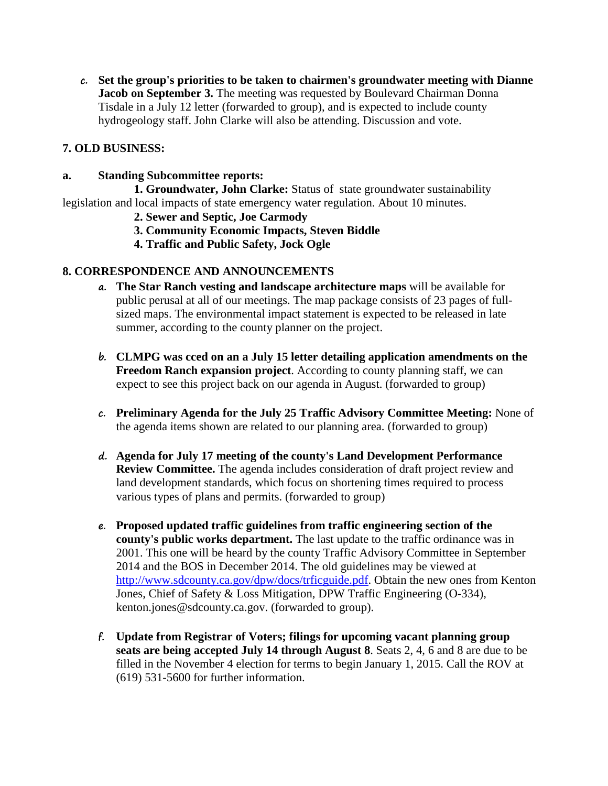**c. Set the group's priorities to be taken to chairmen's groundwater meeting with Dianne Jacob on September 3.** The meeting was requested by Boulevard Chairman Donna Tisdale in a July 12 letter (forwarded to group), and is expected to include county hydrogeology staff. John Clarke will also be attending. Discussion and vote.

#### **7. OLD BUSINESS:**

**a. Standing Subcommittee reports:**

**1. Groundwater, John Clarke:** Status of state groundwater sustainability legislation and local impacts of state emergency water regulation. About 10 minutes.

- **2. Sewer and Septic, Joe Carmody**
- **3. Community Economic Impacts, Steven Biddle**
- **4. Traffic and Public Safety, Jock Ogle**

#### **8. CORRESPONDENCE AND ANNOUNCEMENTS**

- **a. The Star Ranch vesting and landscape architecture maps** will be available for public perusal at all of our meetings. The map package consists of 23 pages of fullsized maps. The environmental impact statement is expected to be released in late summer, according to the county planner on the project.
- **b. CLMPG was cced on an a July 15 letter detailing application amendments on the Freedom Ranch expansion project**. According to county planning staff, we can expect to see this project back on our agenda in August. (forwarded to group)
- **c. Preliminary Agenda for the July 25 Traffic Advisory Committee Meeting:** None of the agenda items shown are related to our planning area. (forwarded to group)
- **d. Agenda for July 17 meeting of the county's Land Development Performance Review Committee.** The agenda includes consideration of draft project review and land development standards, which focus on shortening times required to process various types of plans and permits. (forwarded to group)
- **e. Proposed updated traffic guidelines from traffic engineering section of the county's public works department.** The last update to the traffic ordinance was in 2001. This one will be heard by the county Traffic Advisory Committee in September 2014 and the BOS in December 2014. The old guidelines may be viewed at [http://www.sdcounty.ca.gov/dpw/docs/trficguide.pdf.](http://www.sdcounty.ca.gov/dpw/docs/trficguide.pdf) Obtain the new ones from Kenton Jones, Chief of Safety & Loss Mitigation, DPW Traffic Engineering (O-334), kenton.jones@sdcounty.ca.gov. (forwarded to group).
- **f. Update from Registrar of Voters; filings for upcoming vacant planning group seats are being accepted July 14 through August 8**. Seats 2, 4, 6 and 8 are due to be filled in the November 4 election for terms to begin January 1, 2015. Call the ROV at (619) 531-5600 for further information.